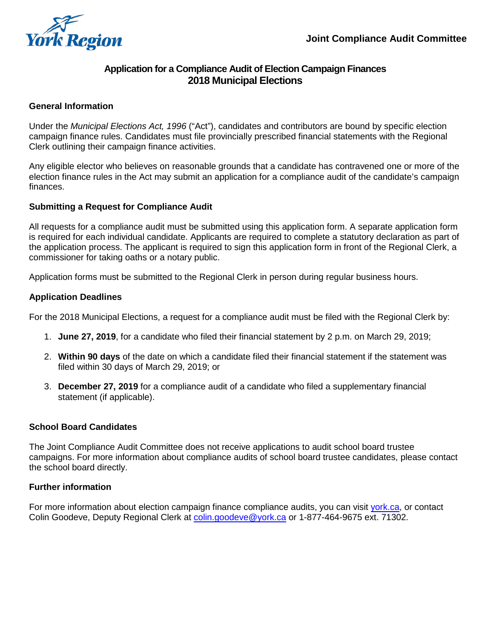

# **Application for a Compliance Audit of Election Campaign Finances 2018 Municipal Elections**

## **General Information**

Under the *Municipal Elections Act, 1996* ("Act"), candidates and contributors are bound by specific election campaign finance rules. Candidates must file provincially prescribed financial statements with the Regional Clerk outlining their campaign finance activities.

 Any eligible elector who believes on reasonable grounds that a candidate has contravened one or more of the election finance rules in the Act may submit an application for a compliance audit of the candidate's campaign finances.

## **Submitting a Request for Compliance Audit**

 All requests for a compliance audit must be submitted using this application form. A separate application form is required for each individual candidate. Applicants are required to complete a statutory declaration as part of the application process. The applicant is required to sign this application form in front of the Regional Clerk, a commissioner for taking oaths or a notary public.

Application forms must be submitted to the Regional Clerk in person during regular business hours.

## **Application Deadlines**

For the 2018 Municipal Elections, a request for a compliance audit must be filed with the Regional Clerk by:

- 1. **June 27, 2019**, for a candidate who filed their financial statement by 2 p.m. on March 29, 2019;
- 2. **Within 90 days** of the date on which a candidate filed their financial statement if the statement was filed within 30 days of March 29, 2019; or
- 3. **December 27, 2019** for a compliance audit of a candidate who filed a supplementary financial statement (if applicable).

#### **School Board Candidates**

The Joint Compliance Audit Committee does not receive applications to audit school board trustee campaigns. For more information about compliance audits of school board trustee candidates, please contact the school board directly.

#### **Further information**

For more information about election campaign finance compliance audits, you can visit <u>york.ca</u>, or contact Colin Goodeve, Deputy Regional Clerk at [colin.goodeve@york.ca](mailto:colin.goodeve@york.ca) or 1-877-464-9675 ext. 71302.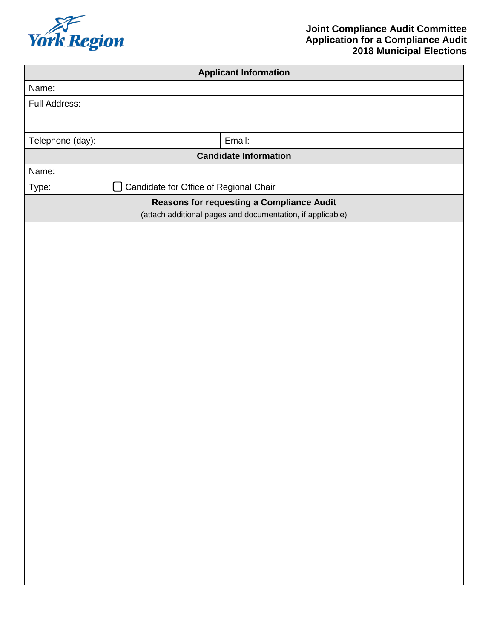

| <b>Applicant Information</b>                                                                            |                                              |        |  |  |
|---------------------------------------------------------------------------------------------------------|----------------------------------------------|--------|--|--|
| Name:                                                                                                   |                                              |        |  |  |
| Full Address:                                                                                           |                                              |        |  |  |
|                                                                                                         |                                              |        |  |  |
| Telephone (day):                                                                                        |                                              | Email: |  |  |
| <b>Candidate Information</b>                                                                            |                                              |        |  |  |
| Name:                                                                                                   |                                              |        |  |  |
| Type:                                                                                                   | Candidate for Office of Regional Chair<br>I. |        |  |  |
| Reasons for requesting a Compliance Audit<br>(attach additional pages and documentation, if applicable) |                                              |        |  |  |
|                                                                                                         |                                              |        |  |  |
|                                                                                                         |                                              |        |  |  |
|                                                                                                         |                                              |        |  |  |
|                                                                                                         |                                              |        |  |  |
|                                                                                                         |                                              |        |  |  |
|                                                                                                         |                                              |        |  |  |
|                                                                                                         |                                              |        |  |  |
|                                                                                                         |                                              |        |  |  |
|                                                                                                         |                                              |        |  |  |
|                                                                                                         |                                              |        |  |  |
|                                                                                                         |                                              |        |  |  |
|                                                                                                         |                                              |        |  |  |
|                                                                                                         |                                              |        |  |  |
|                                                                                                         |                                              |        |  |  |
|                                                                                                         |                                              |        |  |  |
|                                                                                                         |                                              |        |  |  |
|                                                                                                         |                                              |        |  |  |
|                                                                                                         |                                              |        |  |  |
|                                                                                                         |                                              |        |  |  |
|                                                                                                         |                                              |        |  |  |
|                                                                                                         |                                              |        |  |  |
|                                                                                                         |                                              |        |  |  |
|                                                                                                         |                                              |        |  |  |